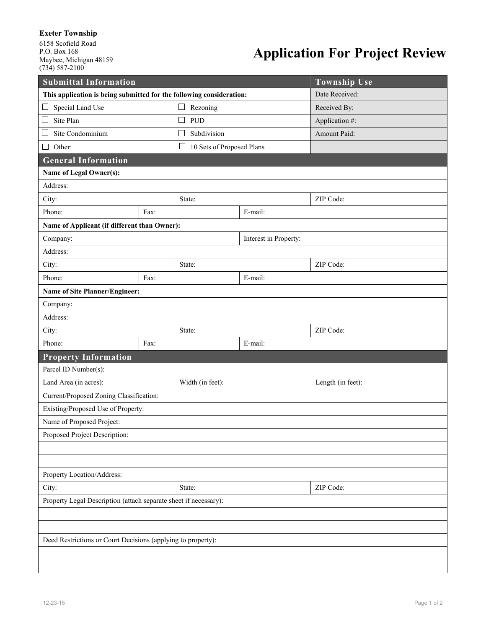## **Exeter Township**

6158 Scofield Road P.O. Box 168 Maybee, Michigan 48159 (734) 587-2100

## **Application For Project Review**

| <b>Submittal Information</b>                                         |        |                                     |           | <b>Township Use</b> |  |
|----------------------------------------------------------------------|--------|-------------------------------------|-----------|---------------------|--|
| This application is being submitted for the following consideration: |        |                                     |           | Date Received:      |  |
| Special Land Use<br>$\Box$                                           |        | Rezoning<br>$\Box$                  |           | Received By:        |  |
| Site Plan<br>$\Box$                                                  |        | $\Box$<br>PUD                       |           | Application #:      |  |
| Site Condominium                                                     |        | Subdivision<br>$\Box$               |           | Amount Paid:        |  |
| Other:<br>l 1                                                        |        | 10 Sets of Proposed Plans<br>$\Box$ |           |                     |  |
| <b>General Information</b>                                           |        |                                     |           |                     |  |
| Name of Legal Owner(s):                                              |        |                                     |           |                     |  |
| Address:                                                             |        |                                     |           |                     |  |
| City:                                                                |        | State:                              |           | ZIP Code:           |  |
| Phone:                                                               | Fax:   |                                     | E-mail:   |                     |  |
| Name of Applicant (if different than Owner):                         |        |                                     |           |                     |  |
| Company:                                                             |        | Interest in Property:               |           |                     |  |
| Address:                                                             |        |                                     |           |                     |  |
| City:                                                                |        | State:                              |           | ZIP Code:           |  |
| Phone:                                                               | Fax:   |                                     | E-mail:   |                     |  |
| Name of Site Planner/Engineer:                                       |        |                                     |           |                     |  |
| Company:                                                             |        |                                     |           |                     |  |
| Address:                                                             |        |                                     |           |                     |  |
| City:                                                                |        | State:                              |           | ZIP Code:           |  |
| Phone:                                                               | Fax:   |                                     | E-mail:   |                     |  |
| <b>Property Information</b>                                          |        |                                     |           |                     |  |
| Parcel ID Number(s):                                                 |        |                                     |           |                     |  |
| Land Area (in acres):                                                |        | Width (in feet):                    |           | Length (in feet):   |  |
| Current/Proposed Zoning Classification:                              |        |                                     |           |                     |  |
| Existing/Proposed Use of Property:                                   |        |                                     |           |                     |  |
| Name of Proposed Project:                                            |        |                                     |           |                     |  |
| Proposed Project Description:                                        |        |                                     |           |                     |  |
|                                                                      |        |                                     |           |                     |  |
|                                                                      |        |                                     |           |                     |  |
| Property Location/Address:                                           |        |                                     |           |                     |  |
| City:                                                                | State: |                                     | ZIP Code: |                     |  |
| Property Legal Description (attach separate sheet if necessary):     |        |                                     |           |                     |  |
|                                                                      |        |                                     |           |                     |  |
|                                                                      |        |                                     |           |                     |  |
| Deed Restrictions or Court Decisions (applying to property):         |        |                                     |           |                     |  |
|                                                                      |        |                                     |           |                     |  |
|                                                                      |        |                                     |           |                     |  |